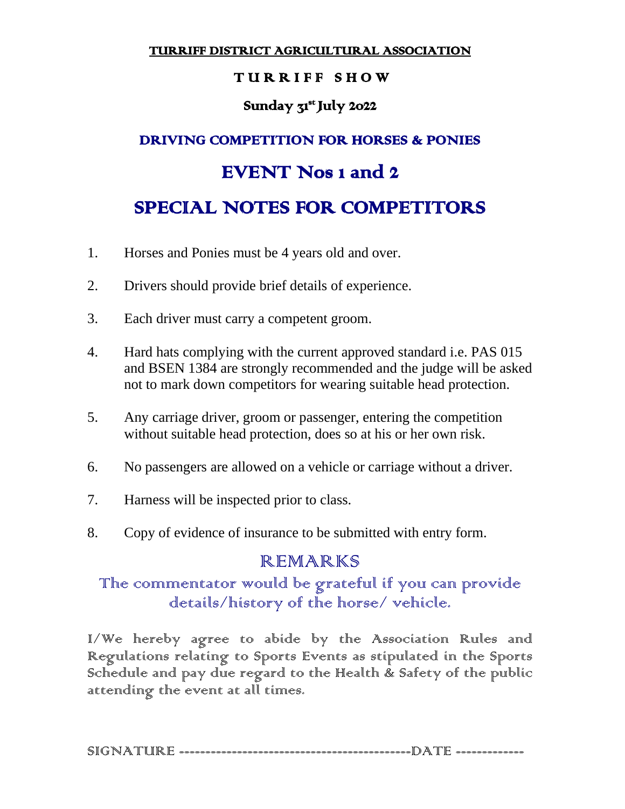TURRIFF DISTRICT AGRICULTURAL ASSOCIATION

### TURRIFF SHOW

## Sunday 31<sup>st</sup> July 2022

# DRIVING COMPETITION FOR HORSES & PONIES EVENT Nos 1 and 2 SPECIAL NOTES FOR COMPETITORS

- 1. Horses and Ponies must be 4 years old and over.
- 2. Drivers should provide brief details of experience.
- 3. Each driver must carry a competent groom.
- 4. Hard hats complying with the current approved standard i.e. PAS 015 and BSEN 1384 are strongly recommended and the judge will be asked not to mark down competitors for wearing suitable head protection.
- 5. Any carriage driver, groom or passenger, entering the competition without suitable head protection, does so at his or her own risk.
- 6. No passengers are allowed on a vehicle or carriage without a driver.
- 7. Harness will be inspected prior to class.
- 8. Copy of evidence of insurance to be submitted with entry form.

# REMARKS

# The commentator would be grateful if you can provide details/history of the horse/ vehicle.

I/We hereby agree to abide by the Association Rules and Regulations relating to Sports Events as stipulated in the Sports Schedule and pay due regard to the Health & Safety of the public attending the event at all times.

SIGNATURE --------------------------------------------DATE -------------